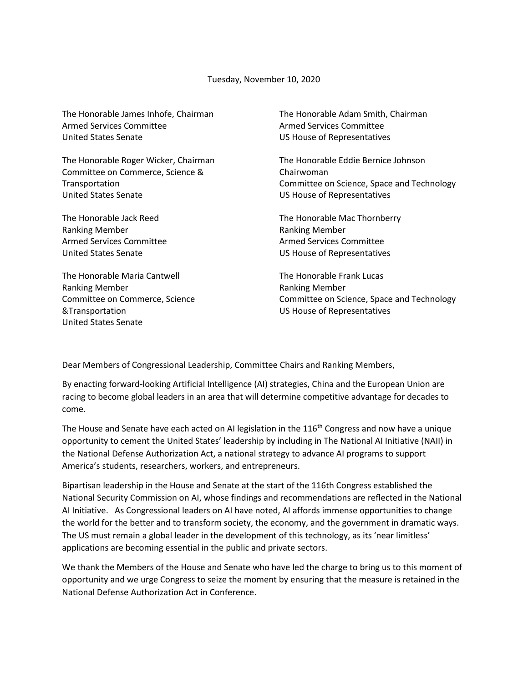Tuesday, November 10, 2020

| The Honorable James Inhofe, Chairman<br><b>Armed Services Committee</b> | The Honorable Adam Smith, Chairman<br><b>Armed Services Committee</b> |
|-------------------------------------------------------------------------|-----------------------------------------------------------------------|
| <b>United States Senate</b>                                             | US House of Representatives                                           |
| The Honorable Roger Wicker, Chairman                                    | The Honorable Eddie Bernice Johnson                                   |
| Committee on Commerce, Science &                                        | Chairwoman                                                            |
| Transportation                                                          | Committee on Science, Space and Technology                            |
| <b>United States Senate</b>                                             | US House of Representatives                                           |
| The Honorable Jack Reed                                                 | The Honorable Mac Thornberry                                          |
| <b>Ranking Member</b>                                                   | <b>Ranking Member</b>                                                 |
| <b>Armed Services Committee</b>                                         | <b>Armed Services Committee</b>                                       |
| United States Senate                                                    | US House of Representatives                                           |
| The Honorable Maria Cantwell                                            | The Honorable Frank Lucas                                             |
| <b>Ranking Member</b>                                                   | <b>Ranking Member</b>                                                 |
| Committee on Commerce, Science                                          | Committee on Science, Space and Technology                            |
| &Transportation                                                         | US House of Representatives                                           |
| <b>United States Senate</b>                                             |                                                                       |

Dear Members of Congressional Leadership, Committee Chairs and Ranking Members,

By enacting forward-looking Artificial Intelligence (AI) strategies, China and the European Union are racing to become global leaders in an area that will determine competitive advantage for decades to come.

The House and Senate have each acted on AI legislation in the 116<sup>th</sup> Congress and now have a unique opportunity to cement the United States' leadership by including in The National AI Initiative (NAII) in the National Defense Authorization Act, a national strategy to advance AI programs to support America's students, researchers, workers, and entrepreneurs.

Bipartisan leadership in the House and Senate at the start of the 116th Congress established the National Security Commission on AI, whose findings and recommendations are reflected in the National AI Initiative. As Congressional leaders on AI have noted, AI affords immense opportunities to change the world for the better and to transform society, the economy, and the government in dramatic ways. The US must remain a global leader in the development of this technology, as its 'near limitless' applications are becoming essential in the public and private sectors.

We thank the Members of the House and Senate who have led the charge to bring us to this moment of opportunity and we urge Congress to seize the moment by ensuring that the measure is retained in the National Defense Authorization Act in Conference.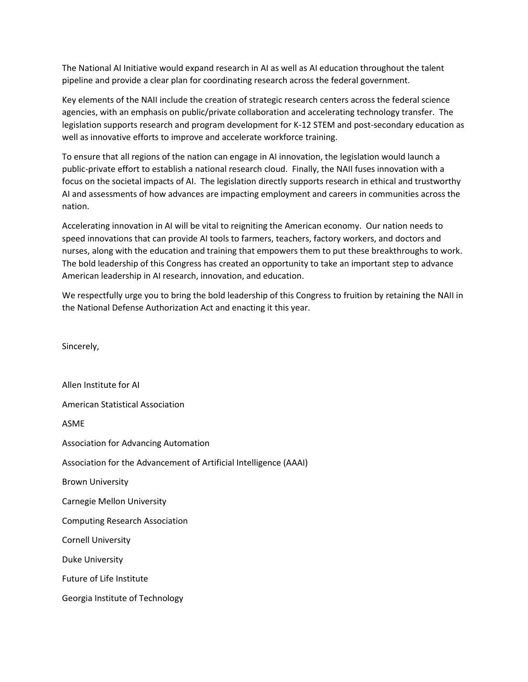The National AI Initiative would expand research in AI as well as AI education throughout the talent pipeline and provide a clear plan for coordinating research across the federal government.

Key elements of the NAII include the creation of strategic research centers across the federal science agencies, with an emphasis on public/private collaboration and accelerating technology transfer. The legislation supports research and program development for K-12 STEM and post-secondary education as well as innovative efforts to improve and accelerate workforce training.

To ensure that all regions of the nation can engage in AI innovation, the legislation would launch a public-private effort to establish a national research cloud. Finally, the NAII fuses innovation with a focus on the societal impacts of AI. The legislation directly supports research in ethical and trustworthy AI and assessments of how advances are impacting employment and careers in communities across the nation.

Accelerating innovation in AI will be vital to reigniting the American economy. Our nation needs to speed innovations that can provide AI tools to farmers, teachers, factory workers, and doctors and nurses, along with the education and training that empowers them to put these breakthroughs to work. The bold leadership of this Congress has created an opportunity to take an important step to advance American leadership in AI research, innovation, and education.

We respectfully urge you to bring the bold leadership of this Congress to fruition by retaining the NAII in the National Defense Authorization Act and enacting it this year.

Sincerely,

Allen Institute for AI American Statistical Association ASME Association for Advancing Automation Association for the Advancement of Artificial Intelligence (AAAI) Brown University Carnegie Mellon University Computing Research Association Cornell University Duke University Future of Life Institute Georgia Institute of Technology